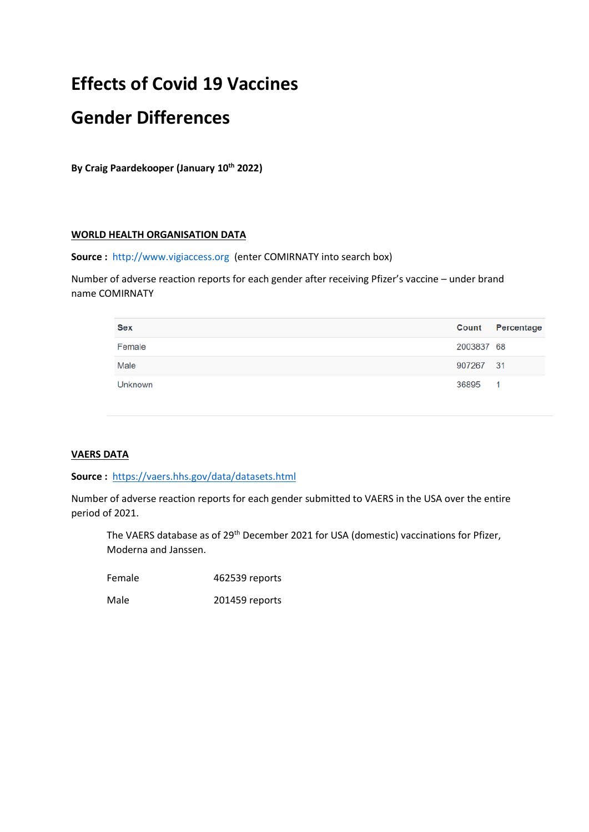# **Effects of Covid 19 Vaccines**

## **Gender Differences**

**By Craig Paardekooper (January 10th 2022)**

#### **WORLD HEALTH ORGANISATION DATA**

**Source :** [http://www.vigiaccess.org](http://www.vigiaccess.org/) (enter COMIRNATY into search box)

Number of adverse reaction reports for each gender after receiving Pfizer's vaccine – under brand name COMIRNATY

| <b>Sex</b>     |            | <b>Count</b> Percentage |
|----------------|------------|-------------------------|
| Female         | 2003837 68 |                         |
| Male           | 907267 31  |                         |
| <b>Unknown</b> | 36895      | $\blacksquare$          |

## **VAERS DATA**

#### **Source :** <https://vaers.hhs.gov/data/datasets.html>

Number of adverse reaction reports for each gender submitted to VAERS in the USA over the entire period of 2021.

The VAERS database as of 29<sup>th</sup> December 2021 for USA (domestic) vaccinations for Pfizer, Moderna and Janssen.

Female 462539 reports

Male 201459 reports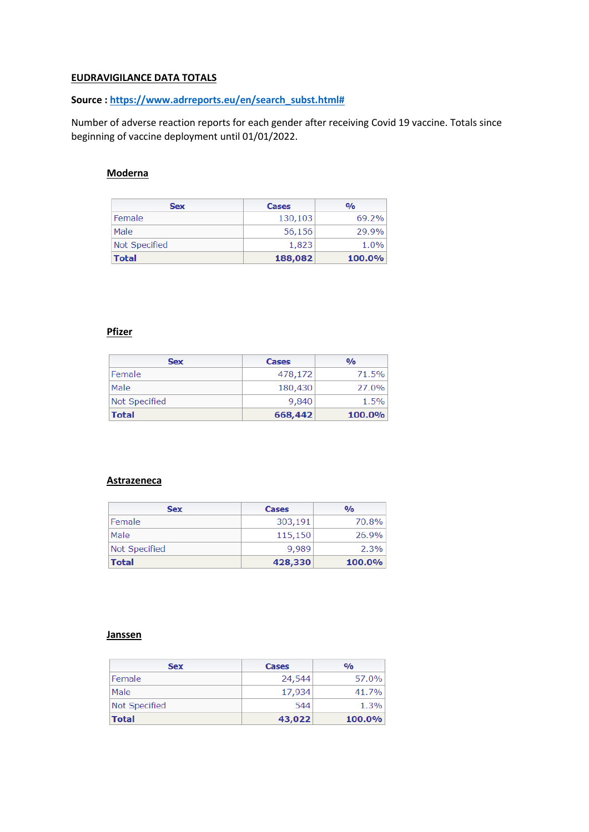## **EUDRAVIGILANCE DATA TOTALS**

## **Source : [https://www.adrreports.eu/en/search\\_subst.html#](https://www.adrreports.eu/en/search_subst.html)**

Number of adverse reaction reports for each gender after receiving Covid 19 vaccine. Totals since beginning of vaccine deployment until 01/01/2022.

## **Moderna**

| <b>Sex</b>    | Cases   | O <sub>0</sub> |
|---------------|---------|----------------|
| Female        | 130,103 | 69.2%          |
| Male          | 56,156  | 29.9%          |
| Not Specified | 1,823   | 1.0%           |
| <b>Total</b>  | 188,082 | 100.0%         |

## **Pfizer**

| <b>Sex</b>    | Cases   | $\frac{0}{0}$ |
|---------------|---------|---------------|
| Female        | 478,172 | 71.5%         |
| Male          | 180,430 | 27.0%         |
| Not Specified | 9,840   | 1.5%          |
| <b>Total</b>  | 668,442 | 100.0%        |

#### **Astrazeneca**

| <b>Sex</b>           | Cases   | $O/\alpha$ |
|----------------------|---------|------------|
| Female               | 303,191 | 70.8%      |
| Male                 | 115,150 | 26.9%      |
| <b>Not Specified</b> | 9,989   | 2.3%       |
| <b>Total</b>         | 428,330 | 100.0%     |

#### **Janssen**

| <b>Sex</b>    | Cases  | $\frac{0}{0}$ |
|---------------|--------|---------------|
| Female        | 24,544 | 57.0%         |
| Male          | 17,934 | 41.7%         |
| Not Specified | 544    | 1.3%          |
| <b>Total</b>  | 43,022 | <b>100.0%</b> |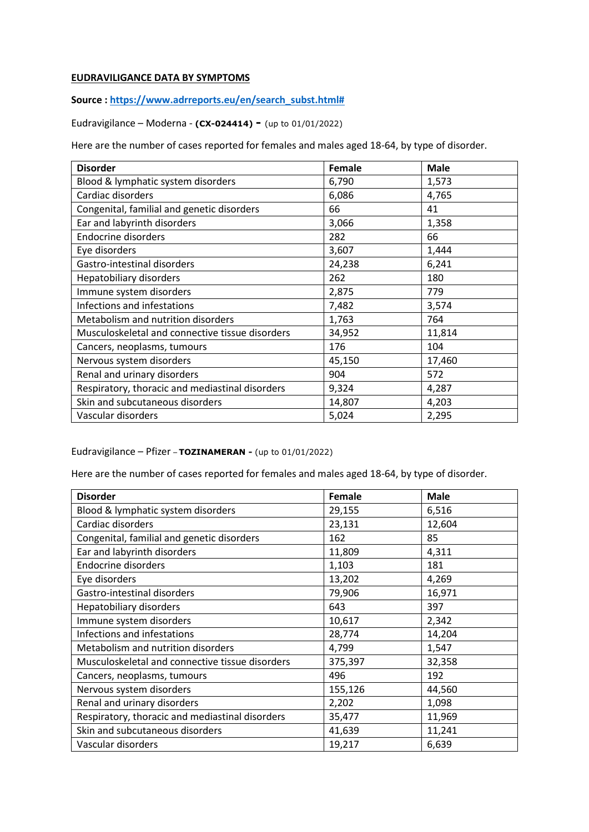## **EUDRAVILIGANCE DATA BY SYMPTOMS**

**Source : [https://www.adrreports.eu/en/search\\_subst.html#](https://www.adrreports.eu/en/search_subst.html)**

Eudravigilance – Moderna - **(CX-024414) -** (up to 01/01/2022)

Here are the number of cases reported for females and males aged 18-64, by type of disorder.

| <b>Disorder</b>                                 | Female | <b>Male</b> |
|-------------------------------------------------|--------|-------------|
| Blood & lymphatic system disorders              | 6,790  | 1,573       |
| Cardiac disorders                               | 6,086  | 4,765       |
| Congenital, familial and genetic disorders      | 66     | 41          |
| Ear and labyrinth disorders                     | 3,066  | 1,358       |
| <b>Endocrine disorders</b>                      | 282    | 66          |
| Eye disorders                                   | 3,607  | 1,444       |
| Gastro-intestinal disorders                     | 24,238 | 6,241       |
| Hepatobiliary disorders                         | 262    | 180         |
| Immune system disorders                         | 2,875  | 779         |
| Infections and infestations                     | 7,482  | 3,574       |
| Metabolism and nutrition disorders              | 1,763  | 764         |
| Musculoskeletal and connective tissue disorders | 34,952 | 11,814      |
| Cancers, neoplasms, tumours                     | 176    | 104         |
| Nervous system disorders                        | 45,150 | 17,460      |
| Renal and urinary disorders                     | 904    | 572         |
| Respiratory, thoracic and mediastinal disorders | 9,324  | 4,287       |
| Skin and subcutaneous disorders                 | 14,807 | 4,203       |
| Vascular disorders                              | 5,024  | 2,295       |

Eudravigilance – Pfizer – **TOZINAMERAN -** (up to 01/01/2022)

Here are the number of cases reported for females and males aged 18-64, by type of disorder.

| <b>Disorder</b>                                 | Female  | <b>Male</b> |
|-------------------------------------------------|---------|-------------|
| Blood & lymphatic system disorders              | 29,155  | 6,516       |
| Cardiac disorders                               | 23,131  | 12,604      |
| Congenital, familial and genetic disorders      | 162     | 85          |
| Ear and labyrinth disorders                     | 11,809  | 4,311       |
| <b>Endocrine disorders</b>                      | 1,103   | 181         |
| Eye disorders                                   | 13,202  | 4,269       |
| Gastro-intestinal disorders                     | 79,906  | 16,971      |
| Hepatobiliary disorders                         | 643     | 397         |
| Immune system disorders                         | 10,617  | 2,342       |
| Infections and infestations                     | 28,774  | 14,204      |
| Metabolism and nutrition disorders              | 4,799   | 1,547       |
| Musculoskeletal and connective tissue disorders | 375,397 | 32,358      |
| Cancers, neoplasms, tumours                     | 496     | 192         |
| Nervous system disorders                        | 155,126 | 44,560      |
| Renal and urinary disorders                     | 2,202   | 1,098       |
| Respiratory, thoracic and mediastinal disorders | 35,477  | 11,969      |
| Skin and subcutaneous disorders                 | 41,639  | 11,241      |
| Vascular disorders                              | 19,217  | 6,639       |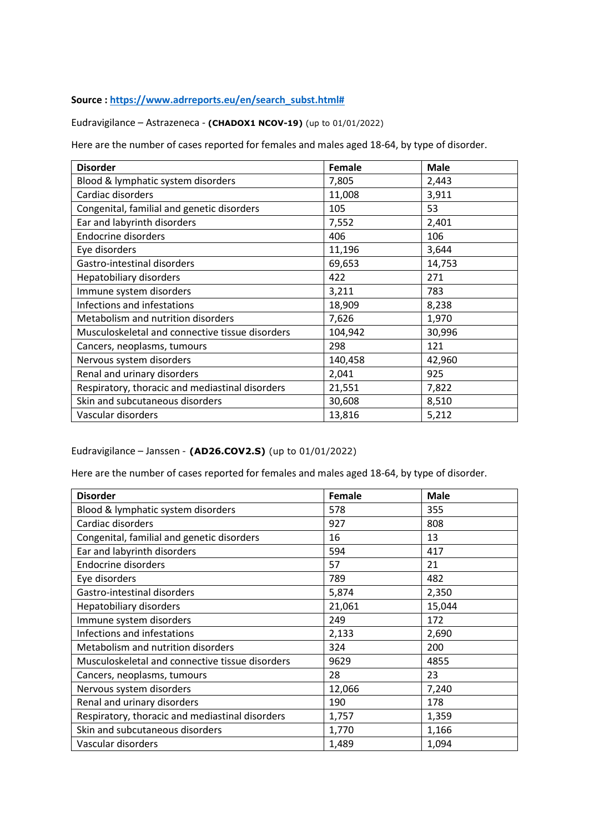## **Source : [https://www.adrreports.eu/en/search\\_subst.html#](https://www.adrreports.eu/en/search_subst.html)**

Eudravigilance – Astrazeneca - **(CHADOX1 NCOV-19)** (up to 01/01/2022)

Here are the number of cases reported for females and males aged 18-64, by type of disorder.

| <b>Disorder</b>                                 | Female  | <b>Male</b> |
|-------------------------------------------------|---------|-------------|
| Blood & lymphatic system disorders              | 7,805   | 2,443       |
| Cardiac disorders                               | 11,008  | 3,911       |
| Congenital, familial and genetic disorders      | 105     | 53          |
| Ear and labyrinth disorders                     | 7,552   | 2,401       |
| <b>Endocrine disorders</b>                      | 406     | 106         |
| Eye disorders                                   | 11,196  | 3,644       |
| Gastro-intestinal disorders                     | 69,653  | 14,753      |
| Hepatobiliary disorders                         | 422     | 271         |
| Immune system disorders                         | 3,211   | 783         |
| Infections and infestations                     | 18,909  | 8,238       |
| Metabolism and nutrition disorders              | 7,626   | 1,970       |
| Musculoskeletal and connective tissue disorders | 104,942 | 30,996      |
| Cancers, neoplasms, tumours                     | 298     | 121         |
| Nervous system disorders                        | 140,458 | 42,960      |
| Renal and urinary disorders                     | 2,041   | 925         |
| Respiratory, thoracic and mediastinal disorders | 21,551  | 7,822       |
| Skin and subcutaneous disorders                 | 30,608  | 8,510       |
| Vascular disorders                              | 13,816  | 5,212       |

Eudravigilance – Janssen - **(AD26.COV2.S)** (up to 01/01/2022)

Here are the number of cases reported for females and males aged 18-64, by type of disorder.

| <b>Disorder</b>                                 | Female | <b>Male</b> |
|-------------------------------------------------|--------|-------------|
| Blood & lymphatic system disorders              | 578    | 355         |
| Cardiac disorders                               | 927    | 808         |
| Congenital, familial and genetic disorders      | 16     | 13          |
| Ear and labyrinth disorders                     | 594    | 417         |
| <b>Endocrine disorders</b>                      | 57     | 21          |
| Eye disorders                                   | 789    | 482         |
| Gastro-intestinal disorders                     | 5,874  | 2,350       |
| Hepatobiliary disorders                         | 21,061 | 15,044      |
| Immune system disorders                         | 249    | 172         |
| Infections and infestations                     | 2,133  | 2,690       |
| Metabolism and nutrition disorders              | 324    | 200         |
| Musculoskeletal and connective tissue disorders | 9629   | 4855        |
| Cancers, neoplasms, tumours                     | 28     | 23          |
| Nervous system disorders                        | 12,066 | 7,240       |
| Renal and urinary disorders                     | 190    | 178         |
| Respiratory, thoracic and mediastinal disorders | 1,757  | 1,359       |
| Skin and subcutaneous disorders                 | 1,770  | 1,166       |
| Vascular disorders                              | 1,489  | 1,094       |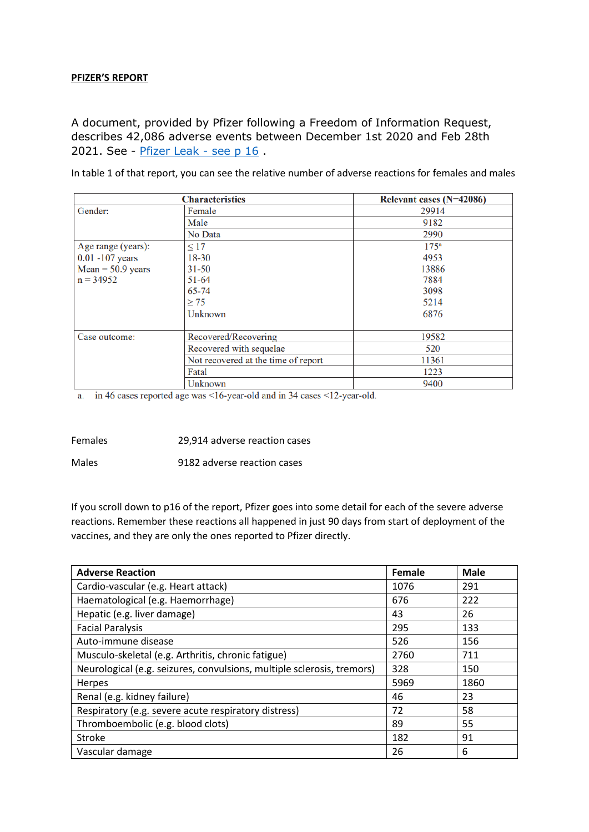#### **PFIZER'S REPORT**

A document, provided by Pfizer following a Freedom of Information Request, describes 42,086 adverse events between December 1st 2020 and Feb 28th 2021. See - [Pfizer Leak -](https://howbad.info/pfizerleak.pdf) see p 16.

In table 1 of that report, you can see the relative number of adverse reactions for females and males

|                             | <b>Characteristics</b>              | Relevant cases (N=42086) |
|-----------------------------|-------------------------------------|--------------------------|
| Gender:                     | Female                              | 29914                    |
|                             | Male                                | 9182                     |
|                             | No Data                             | 2990                     |
| Age range (years):          | $\leq 17$                           | $175^{\rm a}$            |
| $0.01 - 107$ years          | $18 - 30$                           | 4953                     |
| $Mean = 50.9 \text{ years}$ | $31 - 50$                           | 13886                    |
| $n = 34952$                 | $51 - 64$                           | 7884                     |
|                             | 65-74                               | 3098                     |
|                             | $\geq$ 75                           | 5214                     |
|                             | Unknown                             | 6876                     |
| Case outcome:               | Recovered/Recovering                | 19582                    |
|                             | Recovered with sequelae             | 520                      |
|                             | Not recovered at the time of report | 11361                    |
|                             | Fatal                               | 1223                     |
|                             | Unknown                             | 9400                     |

a. in 46 cases reported age was  $\leq 16$ -year-old and in 34 cases  $\leq 12$ -year-old.

Females 29,914 adverse reaction cases

Males 9182 adverse reaction cases

If you scroll down to p16 of the report, Pfizer goes into some detail for each of the severe adverse reactions. Remember these reactions all happened in just 90 days from start of deployment of the vaccines, and they are only the ones reported to Pfizer directly.

| <b>Adverse Reaction</b>                                                | Female | <b>Male</b> |
|------------------------------------------------------------------------|--------|-------------|
| Cardio-vascular (e.g. Heart attack)                                    | 1076   | 291         |
| Haematological (e.g. Haemorrhage)                                      | 676    | 222         |
| Hepatic (e.g. liver damage)                                            | 43     | 26          |
| <b>Facial Paralysis</b>                                                | 295    | 133         |
| Auto-immune disease                                                    | 526    | 156         |
| Musculo-skeletal (e.g. Arthritis, chronic fatigue)                     | 2760   | 711         |
| Neurological (e.g. seizures, convulsions, multiple sclerosis, tremors) | 328    | 150         |
| Herpes                                                                 | 5969   | 1860        |
| Renal (e.g. kidney failure)                                            | 46     | 23          |
| Respiratory (e.g. severe acute respiratory distress)                   | 72     | 58          |
| Thromboembolic (e.g. blood clots)                                      | 89     | 55          |
| Stroke                                                                 | 182    | 91          |
| Vascular damage                                                        | 26     | 6           |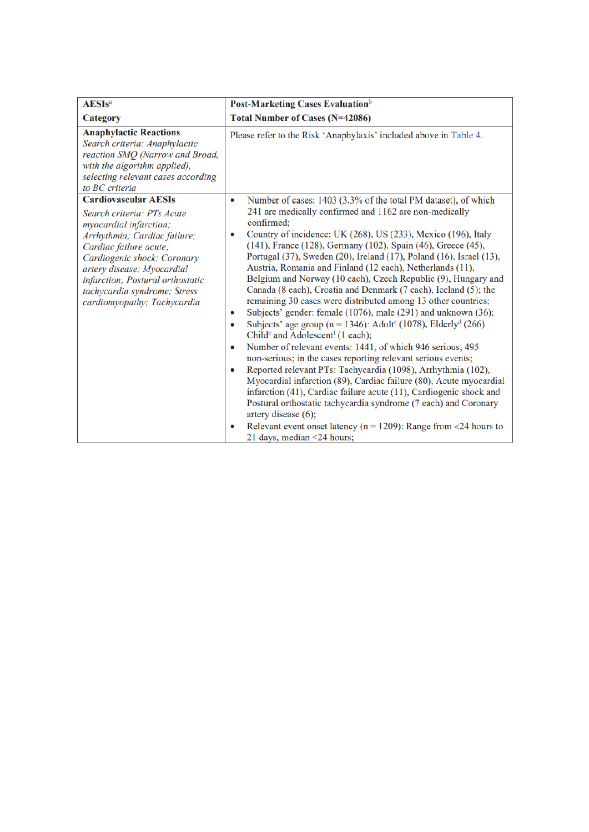| <b>AESIs</b> <sup>a</sup>                                                                                                                                                                                                                                                                                     | Post-Marketing Cases Evaluation <sup>b</sup>                                                                                                                                                                                                                                                                                                                                                                                                                                                                                                                                                                                                                                                                                                                                                                                                                                                                                                                                                                                                                                                                                                                                                                                                                                                                                                                                                                                                            |
|---------------------------------------------------------------------------------------------------------------------------------------------------------------------------------------------------------------------------------------------------------------------------------------------------------------|---------------------------------------------------------------------------------------------------------------------------------------------------------------------------------------------------------------------------------------------------------------------------------------------------------------------------------------------------------------------------------------------------------------------------------------------------------------------------------------------------------------------------------------------------------------------------------------------------------------------------------------------------------------------------------------------------------------------------------------------------------------------------------------------------------------------------------------------------------------------------------------------------------------------------------------------------------------------------------------------------------------------------------------------------------------------------------------------------------------------------------------------------------------------------------------------------------------------------------------------------------------------------------------------------------------------------------------------------------------------------------------------------------------------------------------------------------|
| Category                                                                                                                                                                                                                                                                                                      | <b>Total Number of Cases (N=42086)</b>                                                                                                                                                                                                                                                                                                                                                                                                                                                                                                                                                                                                                                                                                                                                                                                                                                                                                                                                                                                                                                                                                                                                                                                                                                                                                                                                                                                                                  |
| <b>Anaphylactic Reactions</b><br>Search criteria: Anaphylactic<br>reaction SMQ (Narrow and Broad,<br>with the algorithm applied),<br>selecting relevant cases according<br>to BC criteria                                                                                                                     | Please refer to the Risk 'Anaphylaxis' included above in Table 4.                                                                                                                                                                                                                                                                                                                                                                                                                                                                                                                                                                                                                                                                                                                                                                                                                                                                                                                                                                                                                                                                                                                                                                                                                                                                                                                                                                                       |
| <b>Cardiovascular AESIs</b><br>Search criteria: PTs Acute<br>myocardial infarction;<br>Arrhythmia; Cardiac failure;<br>Cardiac failure acute;<br>Cardiogenic shock; Coronary<br>artery disease; Myocardial<br>infarction; Postural orthostatic<br>tachycardia syndrome; Stress<br>cardiomyopathy; Tachycardia | Number of cases: 1403 (3.3% of the total PM dataset), of which<br>$\bullet$<br>241 are medically confirmed and 1162 are non-medically<br>confirmed;<br>Country of incidence: UK (268), US (233), Mexico (196), Italy<br>0<br>(141), France (128), Germany (102), Spain (46), Greece (45),<br>Portugal (37), Sweden (20), Ireland (17), Poland (16), Israel (13),<br>Austria, Romania and Finland (12 each), Netherlands (11),<br>Belgium and Norway (10 each), Czech Republic (9), Hungary and<br>Canada (8 each), Croatia and Denmark (7 each), Iceland (5); the<br>remaining 30 cases were distributed among 13 other countries;<br>Subjects' gender: female (1076), male (291) and unknown (36);<br>0<br>Subjects' age group ( $n = 1346$ ): Adult <sup>c</sup> (1078), Elderly <sup>d</sup> (266)<br>$\bullet$<br>Child <sup>e</sup> and Adolescent <sup>f</sup> (1 each);<br>Number of relevant events: 1441, of which 946 serious, 495<br>۰<br>non-serious; in the cases reporting relevant serious events;<br>Reported relevant PTs: Tachycardia (1098), Arrhythmia (102),<br>$\bullet$<br>Myocardial infarction (89), Cardiac failure (80), Acute myocardial<br>infarction (41), Cardiac failure acute (11), Cardiogenic shock and<br>Postural orthostatic tachycardia syndrome (7 each) and Coronary<br>artery disease (6);<br>Relevant event onset latency ( $n = 1209$ ): Range from <24 hours to<br>$\bullet$<br>21 days, median <24 hours; |